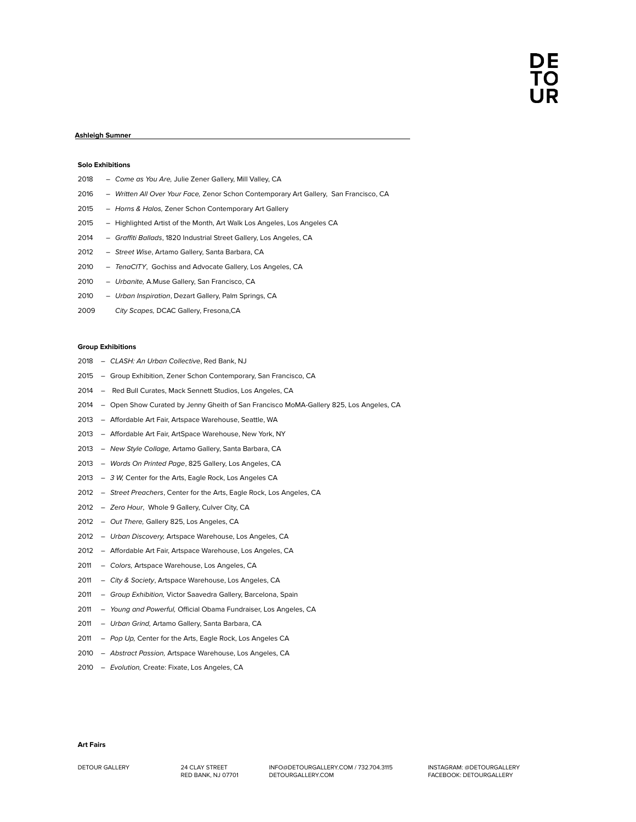## **Ashleigh Sumner**

#### **Solo Exhibitions**

| 2018 | - Come as You Are, Julie Zener Gallery, Mill Valley, CA                               |
|------|---------------------------------------------------------------------------------------|
| 2016 | - Written All Over Your Face, Zenor Schon Contemporary Art Gallery, San Francisco, CA |
| 2015 | - Horns & Halos, Zener Schon Contemporary Art Gallery                                 |
| 2015 | - Highlighted Artist of the Month, Art Walk Los Angeles, Los Angeles CA               |
| 2014 | - Graffiti Ballads, 1820 Industrial Street Gallery, Los Angeles, CA                   |
| 2012 | - Street Wise, Artamo Gallery, Santa Barbara, CA                                      |
| 2010 | - TenaCITY, Gochiss and Advocate Gallery, Los Angeles, CA                             |
| 2010 | - Urbanite, A.Muse Gallery, San Francisco, CA                                         |
| 2010 | - Urban Inspiration, Dezart Gallery, Palm Springs, CA                                 |
|      |                                                                                       |

*City Scapes,* DCAC Gallery, Fresona,CA

### **Group Exhibitions**

- *CLASH: An Urban Collective*, Red Bank, NJ
- Group Exhibition, Zener Schon Contemporary, San Francisco, CA
- Red Bull Curates, Mack Sennett Studios, Los Angeles, CA
- Open Show Curated by Jenny Gheith of San Francisco MoMA-Gallery 825, Los Angeles, CA
- Affordable Art Fair, Artspace Warehouse, Seattle, WA
- 2013 Affordable Art Fair, ArtSpace Warehouse, New York, NY
- *New Style Collage,* Artamo Gallery, Santa Barbara, CA
- *Words On Printed Page*, 825 Gallery, Los Angeles, CA
- *3 W,* Center for the Arts, Eagle Rock, Los Angeles CA
- *Street Preachers*, Center for the Arts, Eagle Rock, Los Angeles, CA
- *Zero Hour*, Whole 9 Gallery, Culver City, CA
- *Out There,* Gallery 825, Los Angeles, CA
- *Urban Discovery,* Artspace Warehouse, Los Angeles, CA
- Affordable Art Fair, Artspace Warehouse, Los Angeles, CA
- *Colors,* Artspace Warehouse, Los Angeles, CA
- *City & Society*, Artspace Warehouse, Los Angeles, CA
- *Group Exhibition,* Victor Saavedra Gallery, Barcelona, Spain
- *Young and Powerful,* Official Obama Fundraiser, Los Angeles, CA
- *Urban Grind,* Artamo Gallery, Santa Barbara, CA
- *Pop Up,* Center for the Arts, Eagle Rock, Los Angeles CA
- *Abstract Passion,* Artspace Warehouse, Los Angeles, CA
- *Evolution,* Create: Fixate, Los Angeles, CA

**Art Fairs**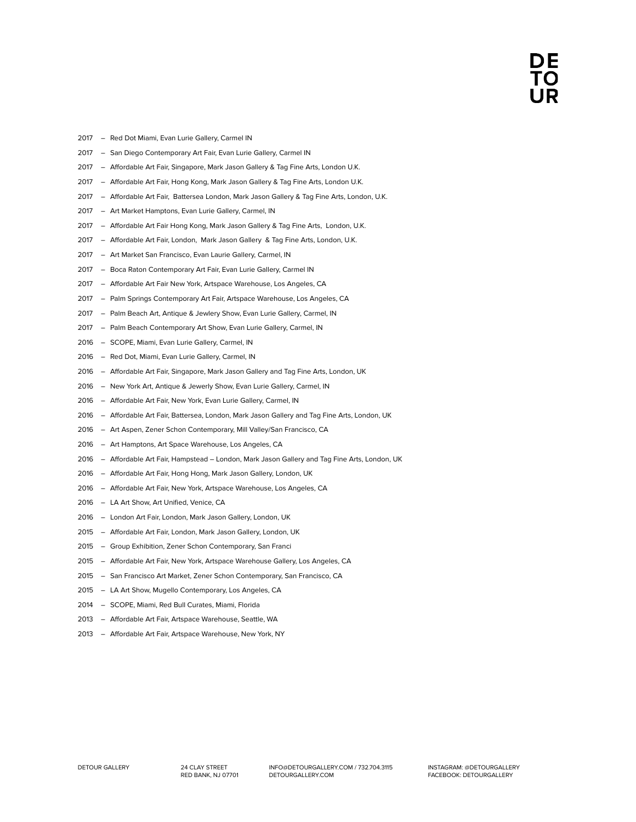## DE ĪŌ

- Red Dot Miami, Evan Lurie Gallery, Carmel IN
- San Diego Contemporary Art Fair, Evan Lurie Gallery, Carmel IN
- 2017 Affordable Art Fair, Singapore, Mark Jason Gallery & Tag Fine Arts, London U.K.
- Affordable Art Fair, Hong Kong, Mark Jason Gallery & Tag Fine Arts, London U.K.
- Affordable Art Fair, Battersea London, Mark Jason Gallery & Tag Fine Arts, London, U.K.
- Art Market Hamptons, Evan Lurie Gallery, Carmel, IN
- Affordable Art Fair Hong Kong, Mark Jason Gallery & Tag Fine Arts, London, U.K.
- Affordable Art Fair, London, Mark Jason Gallery & Tag Fine Arts, London, U.K.
- Art Market San Francisco, Evan Laurie Gallery, Carmel, IN
- Boca Raton Contemporary Art Fair, Evan Lurie Gallery, Carmel IN
- 2017 Affordable Art Fair New York, Artspace Warehouse, Los Angeles, CA
- Palm Springs Contemporary Art Fair, Artspace Warehouse, Los Angeles, CA
- Palm Beach Art, Antique & Jewlery Show, Evan Lurie Gallery, Carmel, IN
- 2017 Palm Beach Contemporary Art Show, Evan Lurie Gallery, Carmel, IN
- SCOPE, Miami, Evan Lurie Gallery, Carmel, IN
- Red Dot, Miami, Evan Lurie Gallery, Carmel, IN
- Affordable Art Fair, Singapore, Mark Jason Gallery and Tag Fine Arts, London, UK
- 2016 New York Art, Antique & Jewerly Show, Evan Lurie Gallery, Carmel, IN
- 2016 Affordable Art Fair, New York, Evan Lurie Gallery, Carmel, IN
- Affordable Art Fair, Battersea, London, Mark Jason Gallery and Tag Fine Arts, London, UK
- Art Aspen, Zener Schon Contemporary, Mill Valley/San Francisco, CA
- Art Hamptons, Art Space Warehouse, Los Angeles, CA
- Affordable Art Fair, Hampstead London, Mark Jason Gallery and Tag Fine Arts, London, UK
- Affordable Art Fair, Hong Hong, Mark Jason Gallery, London, UK
- 2016 Affordable Art Fair, New York, Artspace Warehouse, Los Angeles, CA
- 2016 LA Art Show, Art Unified, Venice, CA
- London Art Fair, London, Mark Jason Gallery, London, UK
- Affordable Art Fair, London, Mark Jason Gallery, London, UK
- Group Exhibition, Zener Schon Contemporary, San Franci
- 2015 Affordable Art Fair, New York, Artspace Warehouse Gallery, Los Angeles, CA
- San Francisco Art Market, Zener Schon Contemporary, San Francisco, CA
- LA Art Show, Mugello Contemporary, Los Angeles, CA
- SCOPE, Miami, Red Bull Curates, Miami, Florida
- Affordable Art Fair, Artspace Warehouse, Seattle, WA
- 2013 Affordable Art Fair, Artspace Warehouse, New York, NY